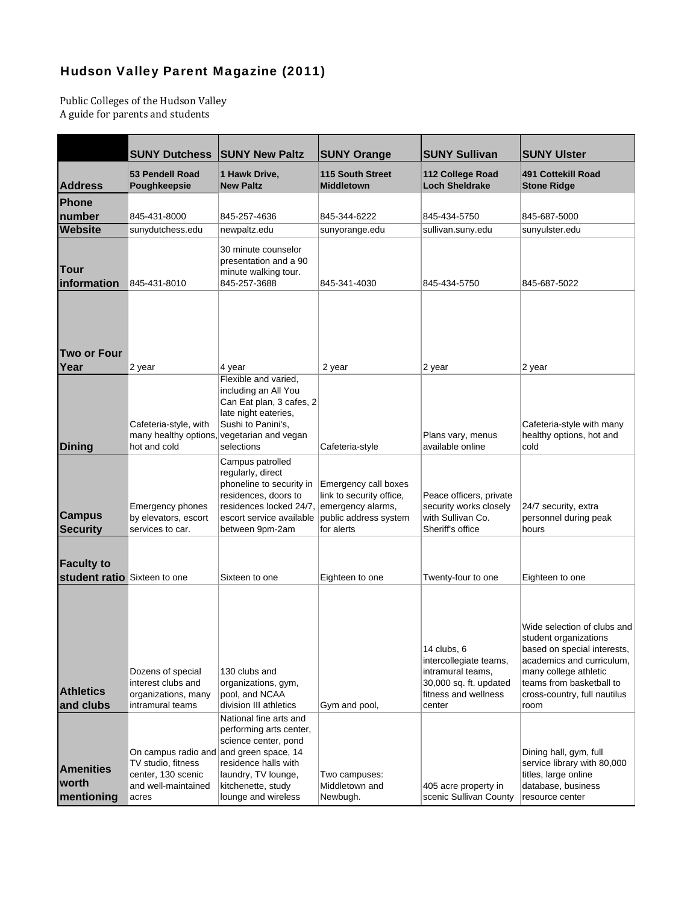## [Hudson Valley Parent Magazine \(2011\)](http://www.hvparent.com/5-Questions-to-Ask-When-Choosing-a-College)

Public Colleges of the Hudson Valley A guide for parents and students

|                                                   | <b>SUNY Dutchess</b>                                                                                                | <b>SUNY New Paltz</b>                                                                                                                                                                 | <b>SUNY Orange</b>                                                                      | <b>SUNY Sullivan</b>                                                                                                   | <b>SUNY Ulster</b>                                                                                                                                                                                            |
|---------------------------------------------------|---------------------------------------------------------------------------------------------------------------------|---------------------------------------------------------------------------------------------------------------------------------------------------------------------------------------|-----------------------------------------------------------------------------------------|------------------------------------------------------------------------------------------------------------------------|---------------------------------------------------------------------------------------------------------------------------------------------------------------------------------------------------------------|
| <b>Address</b>                                    | <b>53 Pendell Road</b><br>Poughkeepsie                                                                              | 1 Hawk Drive,<br><b>New Paltz</b>                                                                                                                                                     | <b>115 South Street</b><br><b>Middletown</b>                                            | 112 College Road<br><b>Loch Sheldrake</b>                                                                              | <b>491 Cottekill Road</b><br><b>Stone Ridge</b>                                                                                                                                                               |
| Phone                                             |                                                                                                                     |                                                                                                                                                                                       |                                                                                         |                                                                                                                        |                                                                                                                                                                                                               |
| number                                            | 845-431-8000                                                                                                        | 845-257-4636                                                                                                                                                                          | 845-344-6222                                                                            | 845-434-5750                                                                                                           | 845-687-5000                                                                                                                                                                                                  |
| <b>Website</b>                                    | sunydutchess.edu                                                                                                    | newpaltz.edu                                                                                                                                                                          | sunyorange.edu                                                                          | sullivan.suny.edu                                                                                                      | sunyulster.edu                                                                                                                                                                                                |
| Tour<br>information                               | 845-431-8010                                                                                                        | 30 minute counselor<br>presentation and a 90<br>minute walking tour.<br>845-257-3688                                                                                                  | 845-341-4030                                                                            | 845-434-5750                                                                                                           | 845-687-5022                                                                                                                                                                                                  |
| <b>Two or Four</b>                                |                                                                                                                     |                                                                                                                                                                                       |                                                                                         |                                                                                                                        |                                                                                                                                                                                                               |
| Year                                              | 2 year                                                                                                              | 4 year                                                                                                                                                                                | 2 year                                                                                  | 2 year                                                                                                                 | 2 year                                                                                                                                                                                                        |
| <b>Dining</b>                                     | Cafeteria-style, with<br>hot and cold                                                                               | Flexible and varied,<br>including an All You<br>Can Eat plan, 3 cafes, 2<br>late night eateries,<br>Sushi to Panini's,<br>many healthy options, vegetarian and vegan<br>selections    | Cafeteria-style                                                                         | Plans vary, menus<br>available online                                                                                  | Cafeteria-style with many<br>healthy options, hot and<br>cold                                                                                                                                                 |
| <b>Campus</b><br><b>Security</b>                  | <b>Emergency phones</b><br>by elevators, escort<br>services to car.                                                 | Campus patrolled<br>regularly, direct<br>phoneline to security in<br>residences, doors to<br>residences locked 24/7, emergency alarms,<br>escort service available<br>between 9pm-2am | Emergency call boxes<br>link to security office,<br>public address system<br>for alerts | Peace officers, private<br>security works closely<br>with Sullivan Co.<br>Sheriff's office                             | 24/7 security, extra<br>personnel during peak<br>hours                                                                                                                                                        |
| <b>Faculty to</b><br>student ratio Sixteen to one |                                                                                                                     | Sixteen to one                                                                                                                                                                        | Eighteen to one                                                                         | Twenty-four to one                                                                                                     | Eighteen to one                                                                                                                                                                                               |
| <b>Athletics</b><br>and clubs                     | Dozens of special<br>interest clubs and<br>organizations, many<br>intramural teams                                  | 130 clubs and<br>organizations, gym,<br>pool, and NCAA<br>division III athletics                                                                                                      | Gym and pool,                                                                           | 14 clubs, 6<br>intercollegiate teams,<br>intramural teams,<br>30,000 sq. ft. updated<br>fitness and wellness<br>center | Wide selection of clubs and<br>student organizations<br>based on special interests,<br>academics and curriculum,<br>many college athletic<br>teams from basketball to<br>cross-country, full nautilus<br>room |
| <b>Amenities</b><br>worth<br>mentioning           | On campus radio and and green space, 14<br>TV studio, fitness<br>center, 130 scenic<br>and well-maintained<br>acres | National fine arts and<br>performing arts center,<br>science center, pond<br>residence halls with<br>laundry, TV lounge,<br>kitchenette, study<br>lounge and wireless                 | Two campuses:<br>Middletown and<br>Newbugh.                                             | 405 acre property in<br>scenic Sullivan County                                                                         | Dining hall, gym, full<br>service library with 80,000<br>titles, large online<br>database, business<br>resource center                                                                                        |